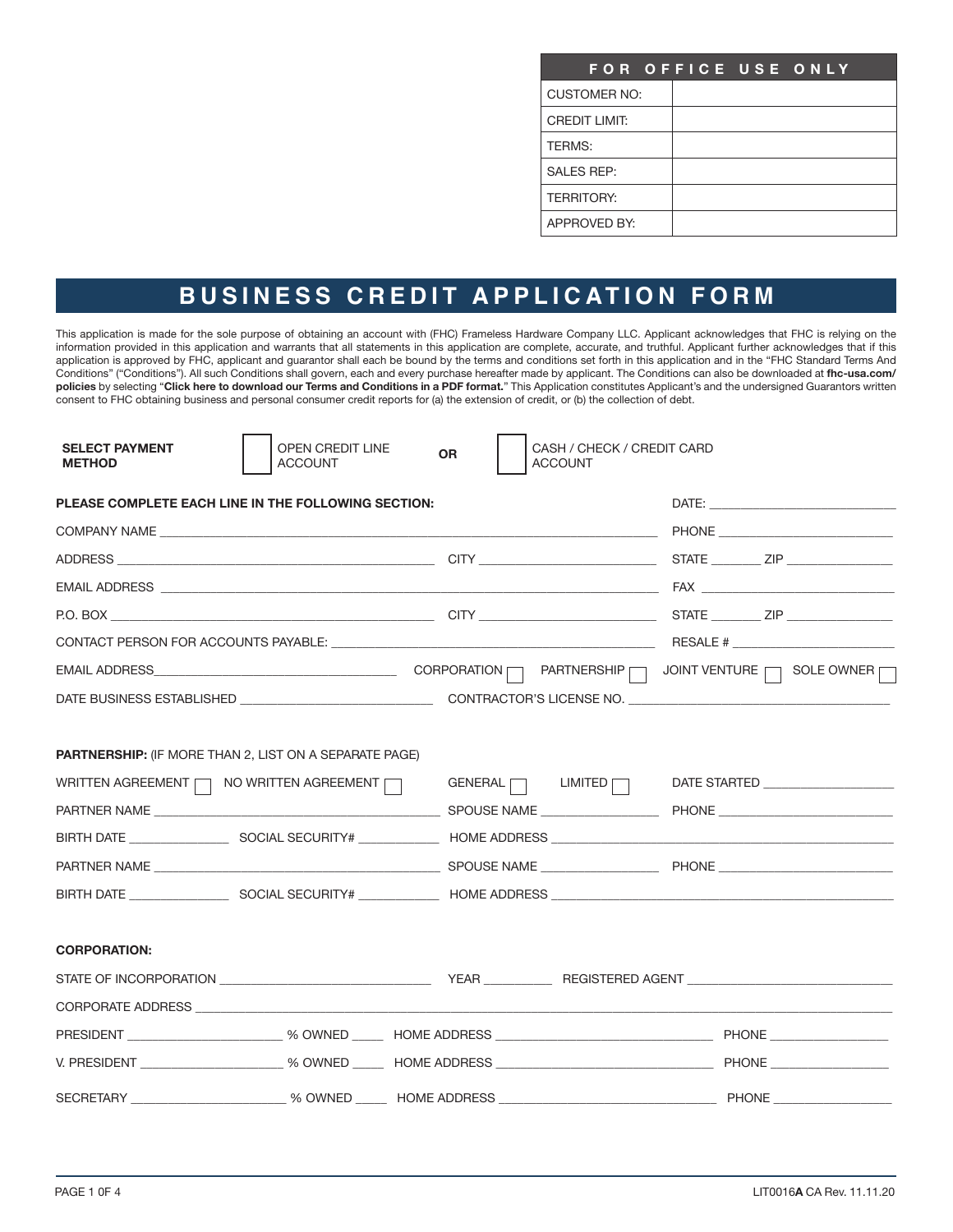| FOR OFFICE USE ONLY  |  |  |
|----------------------|--|--|
| <b>CUSTOMER NO:</b>  |  |  |
| <b>CREDIT LIMIT:</b> |  |  |
| <b>TERMS:</b>        |  |  |
| <b>SALES REP:</b>    |  |  |
| <b>TERRITORY:</b>    |  |  |
| APPROVED BY:         |  |  |

# **BUSINESS CREDIT APPLICATION FORM**

This application is made for the sole purpose of obtaining an account with (FHC) Frameless Hardware Company LLC. Applicant acknowledges that FHC is relying on the information provided in this application and warrants that all statements in this application are complete, accurate, and truthful. Applicant further acknowledges that if this application is approved by FHC, applicant and guarantor shall each be bound by the terms and conditions set forth in this application and in the "FHC Standard Terms And Conditions" ("Conditions"). All such Conditions shall govern, each and every purchase hereafter made by applicant. The Conditions can also be downloaded at **fhc-usa.com/ policies** by selecting "**Click here to download our Terms and Conditions in a PDF format.**" This Application constitutes Applicant's and the undersigned Guarantors written consent to FHC obtaining business and personal consumer credit reports for (a) the extension of credit, or (b) the collection of debt.

| <b>SELECT PAYMENT</b><br><b>METHOD</b> | OPEN CREDIT LINE<br><b>ACCOUNT</b>                                                                                    | CASH / CHECK / CREDIT CARD<br><b>OR</b><br><b>ACCOUNT</b>                                                                                                                                                                      |                                    |
|----------------------------------------|-----------------------------------------------------------------------------------------------------------------------|--------------------------------------------------------------------------------------------------------------------------------------------------------------------------------------------------------------------------------|------------------------------------|
|                                        | PLEASE COMPLETE EACH LINE IN THE FOLLOWING SECTION:                                                                   |                                                                                                                                                                                                                                |                                    |
|                                        |                                                                                                                       |                                                                                                                                                                                                                                |                                    |
|                                        |                                                                                                                       |                                                                                                                                                                                                                                |                                    |
|                                        |                                                                                                                       |                                                                                                                                                                                                                                |                                    |
|                                        |                                                                                                                       |                                                                                                                                                                                                                                |                                    |
|                                        |                                                                                                                       |                                                                                                                                                                                                                                |                                    |
|                                        |                                                                                                                       |                                                                                                                                                                                                                                |                                    |
|                                        |                                                                                                                       |                                                                                                                                                                                                                                |                                    |
|                                        | <b>PARTNERSHIP:</b> (IF MORE THAN 2, LIST ON A SEPARATE PAGE)<br>WRITTEN AGREEMENT $\Box$ NO WRITTEN AGREEMENT $\Box$ | $GENERAL$ $\Box$ $LIMITED$<br>BIRTH DATE _______________________SOCIAL SECURITY# _______________HOME ADDRESS _______________________________                                                                                   | DATE STARTED _____________________ |
| <b>CORPORATION:</b>                    |                                                                                                                       |                                                                                                                                                                                                                                |                                    |
|                                        |                                                                                                                       | CORPORATE ADDRESS AND THE RESERVE AND THE RESERVE AND THE RESERVE AND THE RESERVE AND THE RESERVE AND THE RESERVE AND THE RESERVE AND THE RESERVE AND THE RESERVE AND THE RESERVE AND THE RESERVE AND THE RESERVE AND THE RESE |                                    |
|                                        |                                                                                                                       |                                                                                                                                                                                                                                |                                    |
|                                        |                                                                                                                       |                                                                                                                                                                                                                                |                                    |
|                                        |                                                                                                                       |                                                                                                                                                                                                                                |                                    |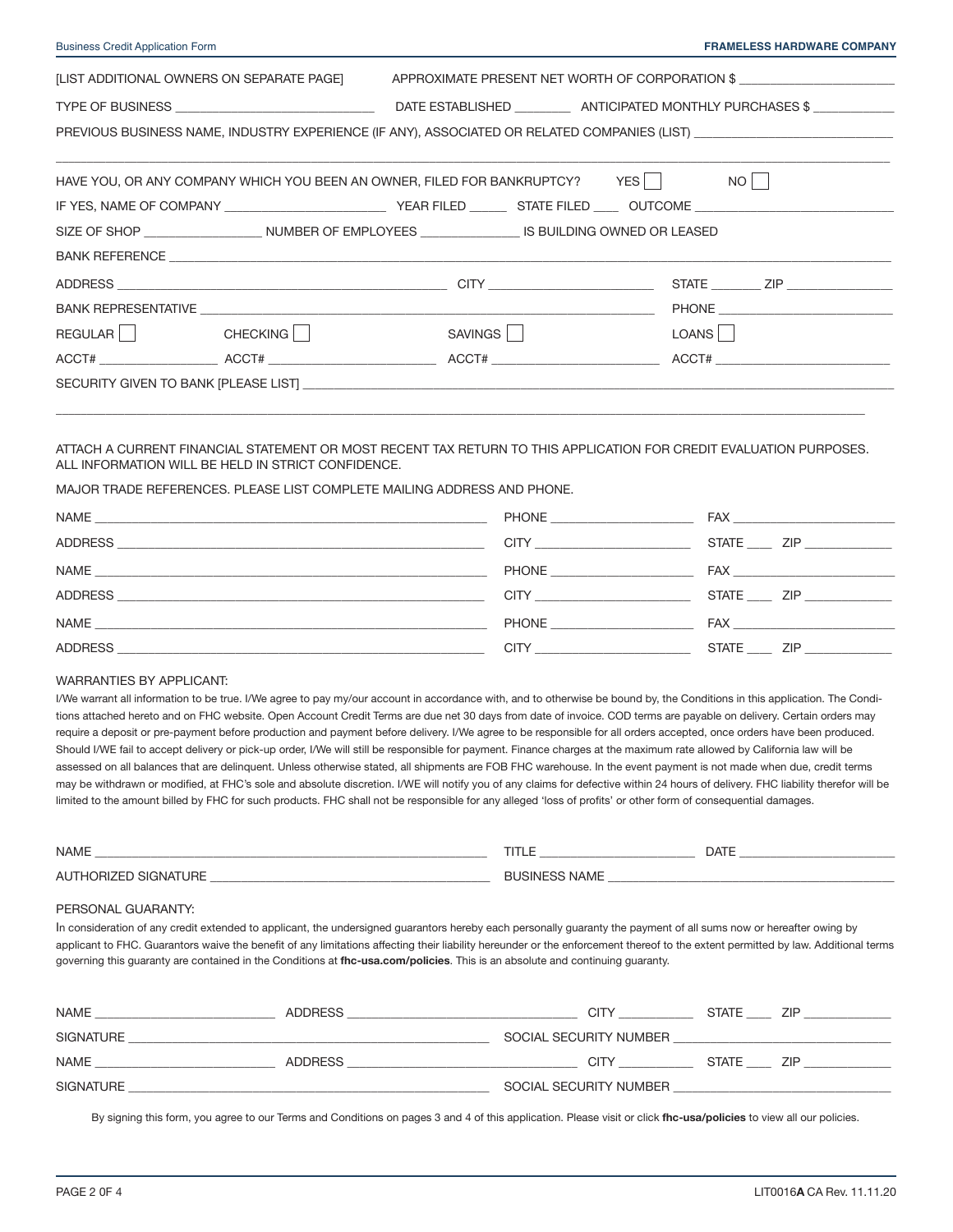| <b>Business Credit Application Form</b>                                                                              |                                                                             |         |  |  | <b>FRAMELESS HARDWARE COMPANY</b>               |
|----------------------------------------------------------------------------------------------------------------------|-----------------------------------------------------------------------------|---------|--|--|-------------------------------------------------|
| [LIST ADDITIONAL OWNERS ON SEPARATE PAGE]                                                                            |                                                                             |         |  |  | APPROXIMATE PRESENT NET WORTH OF CORPORATION \$ |
|                                                                                                                      |                                                                             |         |  |  |                                                 |
| PREVIOUS BUSINESS NAME, INDUSTRY EXPERIENCE (IF ANY), ASSOCIATED OR RELATED COMPANIES (LIST) _______________________ |                                                                             |         |  |  |                                                 |
|                                                                                                                      | HAVE YOU, OR ANY COMPANY WHICH YOU BEEN AN OWNER, FILED FOR BANKRUPTCY? YES |         |  |  |                                                 |
|                                                                                                                      |                                                                             |         |  |  |                                                 |
|                                                                                                                      |                                                                             |         |  |  | STATE <u>ZIP</u>                                |
|                                                                                                                      |                                                                             |         |  |  |                                                 |
| REGULAR   CHECKING                                                                                                   |                                                                             | SAVINGS |  |  | LOANS                                           |
|                                                                                                                      |                                                                             |         |  |  |                                                 |
|                                                                                                                      |                                                                             |         |  |  |                                                 |
|                                                                                                                      |                                                                             |         |  |  |                                                 |

### ATTACH A CURRENT FINANCIAL STATEMENT OR MOST RECENT TAX RETURN TO THIS APPLICATION FOR CREDIT EVALUATION PURPOSES. ALL INFORMATION WILL BE HELD IN STRICT CONFIDENCE.

\_\_\_\_\_\_\_\_\_\_\_\_\_\_\_\_\_\_\_\_\_\_\_\_\_\_\_\_\_\_\_\_\_\_\_\_\_\_\_\_\_\_\_\_\_\_\_\_\_\_\_\_\_\_\_\_\_\_\_\_\_\_\_\_\_\_\_\_\_\_\_\_\_\_\_\_\_\_\_\_\_\_\_\_\_\_\_\_\_\_\_\_\_\_\_\_\_\_\_\_\_\_\_\_\_\_\_\_\_\_\_\_\_\_\_\_\_\_\_\_\_\_\_\_\_\_\_\_\_\_

MAJOR TRADE REFERENCES. PLEASE LIST COMPLETE MAILING ADDRESS AND PHONE.

|                                                                                                                               | <b>PHONE Example 2008</b> | <b>FAX EXISTENT</b> |
|-------------------------------------------------------------------------------------------------------------------------------|---------------------------|---------------------|
| <b>ADDRESS</b><br><u> 1980 - John Harry Barn, mars and deutscher Amerikaanse kommunister († 1901)</u>                         | <b>CITY CITY</b>          | $STATE$ $ZIP$       |
| NAME<br><u> 1980 - Johann Barn, mars ann an t-Alban ann an t-Alban ann an t-Alban ann an t-Alban ann an t-Alban ann an t-</u> | <b>PHONE Example 20</b>   | <b>FAX EXISTENT</b> |
| <b>ADDRESS</b><br><u> 1989 - John Stone, Amerikaansk politiker (* 1918)</u>                                                   | <b>CITY CITY</b>          | STATE ZIP           |
|                                                                                                                               | <b>PHONE Example 20</b>   | <b>FAX EXISTENT</b> |
| <b>ADDRESS</b>                                                                                                                | <b>CITY</b>               | ZIP <b>Example</b>  |

#### WARRANTIES BY APPLICANT:

I/We warrant all information to be true. I/We agree to pay my/our account in accordance with, and to otherwise be bound by, the Conditions in this application. The Conditions attached hereto and on FHC website. Open Account Credit Terms are due net 30 days from date of invoice. COD terms are payable on delivery. Certain orders may require a deposit or pre-payment before production and payment before delivery. I/We agree to be responsible for all orders accepted, once orders have been produced. Should I/WE fail to accept delivery or pick-up order, I/We will still be responsible for payment. Finance charges at the maximum rate allowed by California law will be assessed on all balances that are delinquent. Unless otherwise stated, all shipments are FOB FHC warehouse. In the event payment is not made when due, credit terms may be withdrawn or modified, at FHC's sole and absolute discretion. I/WE will notify you of any claims for defective within 24 hours of delivery. FHC liability therefor will be limited to the amount billed by FHC for such products. FHC shall not be responsible for any alleged 'loss of profits' or other form of consequential damages.

| <b>NAME</b>       | title      | DATI |
|-------------------|------------|------|
| URE<br><b>AUT</b> | RІ<br>AML. |      |

#### PERSONAL GUARANTY:

In consideration of any credit extended to applicant, the undersigned guarantors hereby each personally guaranty the payment of all sums now or hereafter owing by applicant to FHC. Guarantors waive the benefit of any limitations affecting their liability hereunder or the enforcement thereof to the extent permitted by law. Additional terms governing this guaranty are contained in the Conditions at **fhc-usa.com/policies**. This is an absolute and continuing guaranty.

| <b>NAME</b> | <b>ADDRESS</b> | CITY                   | <b>STATE</b> | ZIP |
|-------------|----------------|------------------------|--------------|-----|
| SIGNATURE   |                | SOCIAL SECURITY NUMBER |              |     |
| <b>NAME</b> | <b>ADDRESS</b> | CITY                   | <b>STATE</b> | ZIP |
| SIGNATURE   |                | SOCIAL SECURITY NUMBER |              |     |

By signing this form, you agree to our Terms and Conditions on pages 3 and 4 of this application. Please visit or click **[fhc-usa/policies](https://www.fhc-usa.com/fhc-business-policies-and-forms)** to view all our policies.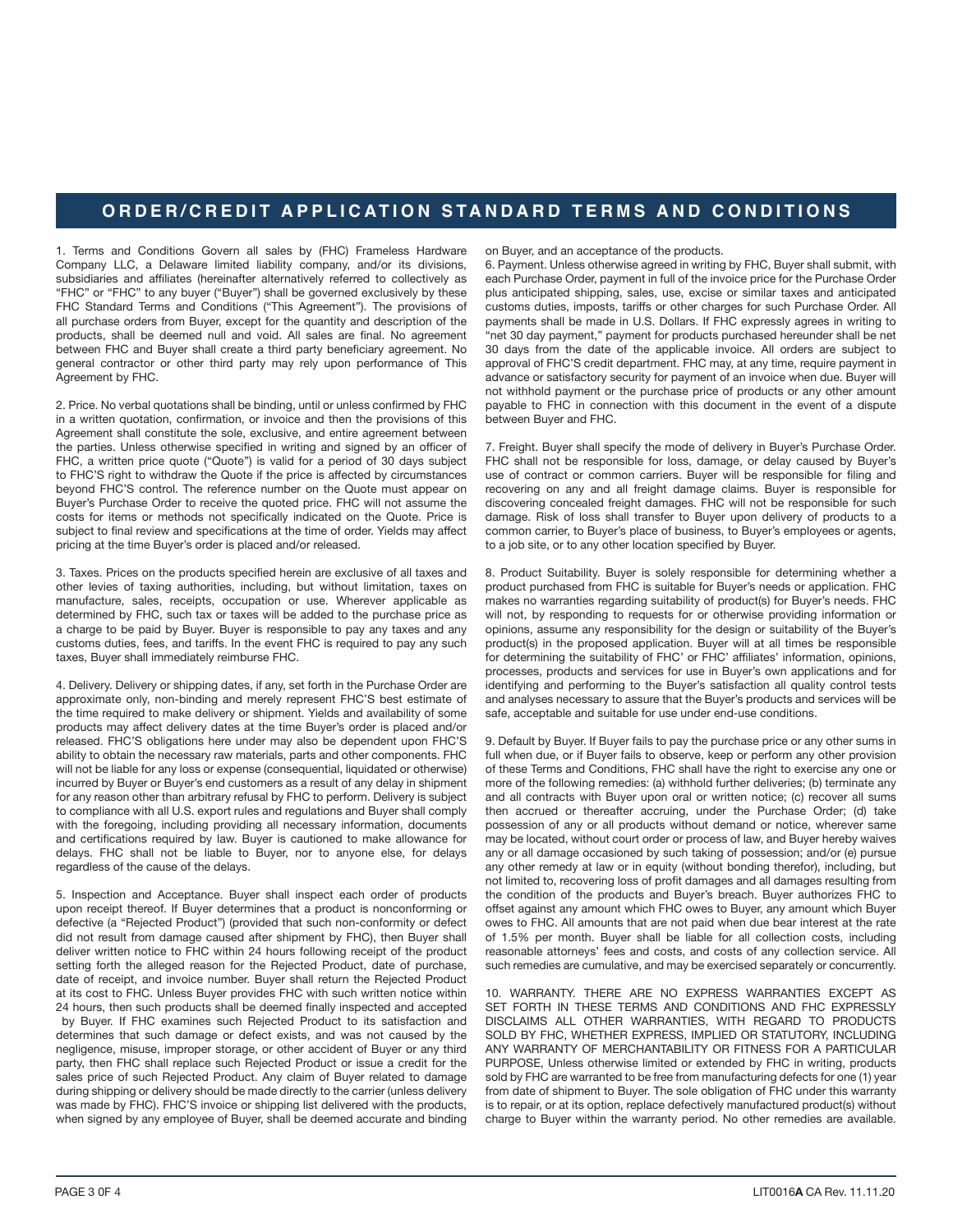## **ORDER/CREDIT APPLICATION STANDARD TERMS AND CONDITIONS**

1. Terms and Conditions Govern all sales by (FHC) Frameless Hardware Company LLC, a Delaware limited liability company, and/or its divisions, subsidiaries and affiliates (hereinafter alternatively referred to collectively as "FHC" or "FHC" to any buyer ("Buyer") shall be governed exclusively by these FHC Standard Terms and Conditions ("This Agreement"). The provisions of all purchase orders from Buyer, except for the quantity and description of the products, shall be deemed null and void. All sales are final. No agreement between FHC and Buyer shall create a third party beneficiary agreement. No general contractor or other third party may rely upon performance of This Agreement by FHC.

2. Price. No verbal quotations shall be binding, until or unless confirmed by FHC in a written quotation, confirmation, or invoice and then the provisions of this Agreement shall constitute the sole, exclusive, and entire agreement between the parties. Unless otherwise specified in writing and signed by an officer of FHC, a written price quote ("Quote") is valid for a period of 30 days subject to FHC'S right to withdraw the Quote if the price is affected by circumstances beyond FHC'S control. The reference number on the Quote must appear on Buyer's Purchase Order to receive the quoted price. FHC will not assume the costs for items or methods not specifically indicated on the Quote. Price is subject to final review and specifications at the time of order. Yields may affect pricing at the time Buyer's order is placed and/or released.

3. Taxes. Prices on the products specified herein are exclusive of all taxes and other levies of taxing authorities, including, but without limitation, taxes on manufacture, sales, receipts, occupation or use. Wherever applicable as determined by FHC, such tax or taxes will be added to the purchase price as a charge to be paid by Buyer. Buyer is responsible to pay any taxes and any customs duties, fees, and tariffs. In the event FHC is required to pay any such taxes, Buyer shall immediately reimburse FHC.

4. Delivery. Delivery or shipping dates, if any, set forth in the Purchase Order are approximate only, non-binding and merely represent FHC'S best estimate of the time required to make delivery or shipment. Yields and availability of some products may affect delivery dates at the time Buyer's order is placed and/or released. FHC'S obligations here under may also be dependent upon FHC'S ability to obtain the necessary raw materials, parts and other components. FHC will not be liable for any loss or expense (consequential, liquidated or otherwise) incurred by Buyer or Buyer's end customers as a result of any delay in shipment for any reason other than arbitrary refusal by FHC to perform. Delivery is subject to compliance with all U.S. export rules and regulations and Buyer shall comply with the foregoing, including providing all necessary information, documents and certifications required by law. Buyer is cautioned to make allowance for delays. FHC shall not be liable to Buyer, nor to anyone else, for delays regardless of the cause of the delays.

5. Inspection and Acceptance. Buyer shall inspect each order of products upon receipt thereof. If Buyer determines that a product is nonconforming or defective (a "Rejected Product") (provided that such non-conformity or defect did not result from damage caused after shipment by FHC), then Buyer shall deliver written notice to FHC within 24 hours following receipt of the product setting forth the alleged reason for the Rejected Product, date of purchase, date of receipt, and invoice number. Buyer shall return the Rejected Product at its cost to FHC. Unless Buyer provides FHC with such written notice within 24 hours, then such products shall be deemed finally inspected and accepted by Buyer. If FHC examines such Rejected Product to its satisfaction and determines that such damage or defect exists, and was not caused by the negligence, misuse, improper storage, or other accident of Buyer or any third party, then FHC shall replace such Rejected Product or issue a credit for the sales price of such Rejected Product. Any claim of Buyer related to damage during shipping or delivery should be made directly to the carrier (unless delivery was made by FHC). FHC'S invoice or shipping list delivered with the products, when signed by any employee of Buyer, shall be deemed accurate and binding

on Buyer, and an acceptance of the products.

6. Payment. Unless otherwise agreed in writing by FHC, Buyer shall submit, with each Purchase Order, payment in full of the invoice price for the Purchase Order plus anticipated shipping, sales, use, excise or similar taxes and anticipated customs duties, imposts, tariffs or other charges for such Purchase Order. All payments shall be made in U.S. Dollars. If FHC expressly agrees in writing to "net 30 day payment," payment for products purchased hereunder shall be net 30 days from the date of the applicable invoice. All orders are subject to approval of FHC'S credit department. FHC may, at any time, require payment in advance or satisfactory security for payment of an invoice when due. Buyer will not withhold payment or the purchase price of products or any other amount payable to FHC in connection with this document in the event of a dispute between Buyer and FHC.

7. Freight. Buyer shall specify the mode of delivery in Buyer's Purchase Order. FHC shall not be responsible for loss, damage, or delay caused by Buyer's use of contract or common carriers. Buyer will be responsible for filing and recovering on any and all freight damage claims. Buyer is responsible for discovering concealed freight damages. FHC will not be responsible for such damage. Risk of loss shall transfer to Buyer upon delivery of products to a common carrier, to Buyer's place of business, to Buyer's employees or agents, to a job site, or to any other location specified by Buyer.

8. Product Suitability. Buyer is solely responsible for determining whether a product purchased from FHC is suitable for Buyer's needs or application. FHC makes no warranties regarding suitability of product(s) for Buyer's needs. FHC will not, by responding to requests for or otherwise providing information or opinions, assume any responsibility for the design or suitability of the Buyer's product(s) in the proposed application. Buyer will at all times be responsible for determining the suitability of FHC' or FHC' affiliates' information, opinions, processes, products and services for use in Buyer's own applications and for identifying and performing to the Buyer's satisfaction all quality control tests and analyses necessary to assure that the Buyer's products and services will be safe, acceptable and suitable for use under end-use conditions.

9. Default by Buyer. If Buyer fails to pay the purchase price or any other sums in full when due, or if Buyer fails to observe, keep or perform any other provision of these Terms and Conditions, FHC shall have the right to exercise any one or more of the following remedies: (a) withhold further deliveries; (b) terminate any and all contracts with Buyer upon oral or written notice; (c) recover all sums then accrued or thereafter accruing, under the Purchase Order; (d) take possession of any or all products without demand or notice, wherever same may be located, without court order or process of law, and Buyer hereby waives any or all damage occasioned by such taking of possession; and/or (e) pursue any other remedy at law or in equity (without bonding therefor), including, but not limited to, recovering loss of profit damages and all damages resulting from the condition of the products and Buyer's breach. Buyer authorizes FHC to offset against any amount which FHC owes to Buyer, any amount which Buyer owes to FHC. All amounts that are not paid when due bear interest at the rate of 1.5% per month. Buyer shall be liable for all collection costs, including reasonable attorneys' fees and costs, and costs of any collection service. All such remedies are cumulative, and may be exercised separately or concurrently.

10. WARRANTY. THERE ARE NO EXPRESS WARRANTIES EXCEPT AS SET FORTH IN THESE TERMS AND CONDITIONS AND FHC EXPRESSLY DISCLAIMS ALL OTHER WARRANTIES, WITH REGARD TO PRODUCTS SOLD BY FHC, WHETHER EXPRESS, IMPLIED OR STATUTORY, INCLUDING ANY WARRANTY OF MERCHANTABILITY OR FITNESS FOR A PARTICULAR PURPOSE, Unless otherwise limited or extended by FHC in writing, products sold by FHC are warranted to be free from manufacturing defects for one (1) year from date of shipment to Buyer. The sole obligation of FHC under this warranty is to repair, or at its option, replace defectively manufactured product(s) without charge to Buyer within the warranty period. No other remedies are available.